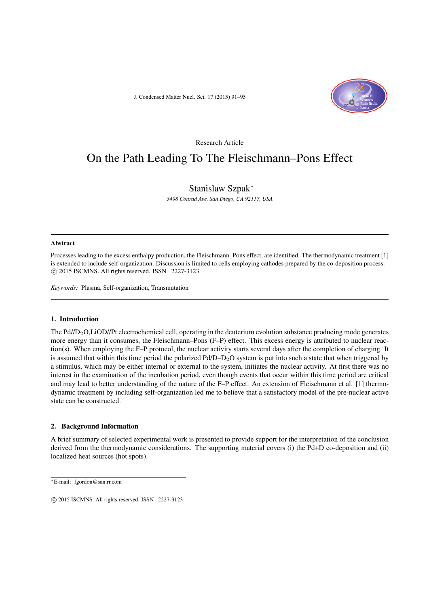J. Condensed Matter Nucl. Sci. 17 (2015) 91–95



# Research Article On the Path Leading To The Fleischmann–Pons Effect

# Stanislaw Szpak<sup>∗</sup>

*3498 Conrad Ave, San Diego, CA 92117, USA*

#### Abstract

Processes leading to the excess enthalpy production, the Fleischmann–Pons effect, are identified. The thermodynamic treatment [1] is extended to include self-organization. Discussion is limited to cells employing cathodes prepared by the co-deposition process.  $\circ$  2015 ISCMNS. All rights reserved. ISSN 2227-3123

*Keywords:* Plasma, Self-organization, Transmutation

# 1. Introduction

The  $Pd/D<sub>2</sub>O$ ,LiOD//Pt electrochemical cell, operating in the deuterium evolution substance producing mode generates more energy than it consumes, the Fleischmann–Pons (F–P) effect. This excess energy is attributed to nuclear reaction(s). When employing the F–P protocol, the nuclear activity starts several days after the completion of charging. It is assumed that within this time period the polarized Pd/D–D<sub>2</sub>O system is put into such a state that when triggered by a stimulus, which may be either internal or external to the system, initiates the nuclear activity. At first there was no interest in the examination of the incubation period, even though events that occur within this time period are critical and may lead to better understanding of the nature of the F–P effect. An extension of Fleischmann et al. [1] thermodynamic treatment by including self-organization led me to believe that a satisfactory model of the pre-nuclear active state can be constructed.

## 2. Background Information

A brief summary of selected experimental work is presented to provide support for the interpretation of the conclusion derived from the thermodynamic considerations. The supporting material covers (i) the Pd+D co-deposition and (ii) localized heat sources (hot spots).

<sup>∗</sup>E-mail: fgordon@san.rr.com

 $\odot$  2015 ISCMNS. All rights reserved. ISSN 2227-3123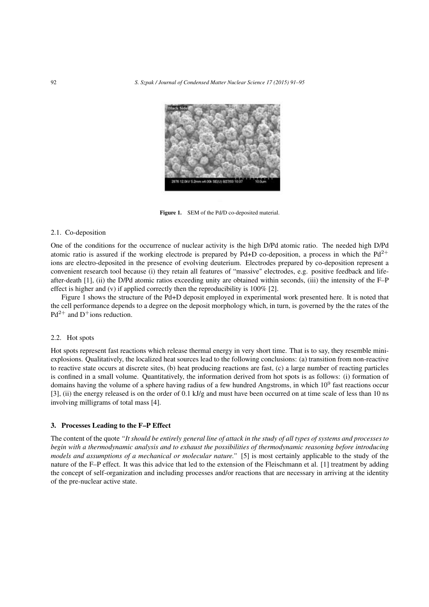

Figure 1. SEM of the Pd/D co-deposited material.

# 2.1. Co-deposition

One of the conditions for the occurrence of nuclear activity is the high D/Pd atomic ratio. The needed high D/Pd atomic ratio is assured if the working electrode is prepared by Pd+D co-deposition, a process in which the  $Pd^{2+}$ ions are electro-deposited in the presence of evolving deuterium. Electrodes prepared by co-deposition represent a convenient research tool because (i) they retain all features of "massive" electrodes, e.g. positive feedback and lifeafter-death [1], (ii) the D/Pd atomic ratios exceeding unity are obtained within seconds, (iii) the intensity of the F–P effect is higher and (v) if applied correctly then the reproducibility is 100% [2].

Figure 1 shows the structure of the Pd+D deposit employed in experimental work presented here. It is noted that the cell performance depends to a degree on the deposit morphology which, in turn, is governed by the the rates of the  $Pd^{2+}$  and  $D^+$ ions reduction.

# 2.2. Hot spots

Hot spots represent fast reactions which release thermal energy in very short time. That is to say, they resemble miniexplosions. Qualitatively, the localized heat sources lead to the following conclusions: (a) transition from non-reactive to reactive state occurs at discrete sites, (b) heat producing reactions are fast, (c) a large number of reacting particles is confined in a small volume. Quantitatively, the information derived from hot spots is as follows: (i) formation of domains having the volume of a sphere having radius of a few hundred Angstroms, in which  $10^9$  fast reactions occur [3], (ii) the energy released is on the order of 0.1 kJ/g and must have been occurred on at time scale of less than 10 ns involving milligrams of total mass [4].

#### 3. Processes Leading to the F–P Effect

The content of the quote *"It should be entirely general line of attack in the study of all types of systems and processes to begin with a thermodynamic analysis and to exhaust the possibilities of thermodynamic reasoning before introducing models and assumptions of a mechanical or molecular nature."* [5] is most certainly applicable to the study of the nature of the F–P effect. It was this advice that led to the extension of the Fleischmann et al. [1] treatment by adding the concept of self-organization and including processes and/or reactions that are necessary in arriving at the identity of the pre-nuclear active state.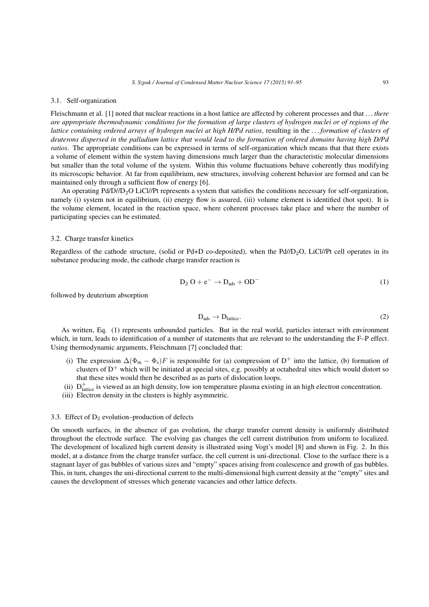# 3.1. Self-organization

Fleischmann et al. [1] noted that nuclear reactions in a host lattice are affected by coherent processes and that *. . . there are appropriate thermodynamic conditions for the formation of large clusters of hydrogen nuclei or of regions of the lattice containing ordered arrays of hydrogen nuclei at high H/Pd ratios*, resulting in the *. . . formation of clusters of deuterons dispersed in the palladium lattice that would lead to the formation of ordered domains having high D/Pd ratios*. The appropriate conditions can be expressed in terms of self-organization which means that that there exists a volume of element within the system having dimensions much larger than the characteristic molecular dimensions but smaller than the total volume of the system. Within this volume fluctuations behave coherently thus modifying its microscopic behavior. At far from equilibrium, new structures, involving coherent behavior are formed and can be maintained only through a sufficient flow of energy [6].

An operating Pd/D//D<sub>2</sub>O LiCl//Pt represents a system that satisfies the conditions necessary for self-organization, namely (i) system not in equilibrium, (ii) energy flow is assured, (iii) volume element is identified (hot spot). It is the volume element, located in the reaction space, where coherent processes take place and where the number of participating species can be estimated.

# 3.2. Charge transfer kinetics

Regardless of the cathode structure, (solid or Pd+D co-deposited), when the Pd//D<sub>2</sub>O, LiCl//Pt cell operates in its substance producing mode, the cathode charge transfer reaction is

$$
D_2 O + e^- \rightarrow D_{ads} + OD^-
$$
 (1)

followed by deuterium absorption

$$
D_{\text{ads}} \to D_{\text{lattice}}.\tag{2}
$$

As written, Eq. (1) represents unbounded particles. But in the real world, particles interact with environment which, in turn, leads to identification of a number of statements that are relevant to the understanding the F–P effect. Using thermodynamic arguments, Fleischmann [7] concluded that:

- (i) The expression  $\Delta(\Phi_m \Phi_s)F$  is responsible for (a) compression of D<sup>+</sup> into the lattice, (b) formation of clusters of  $D^+$  which will be initiated at special sites, e.g. possibly at octahedral sites which would distort so that these sites would then be described as as parts of dislocation loops.
- (ii)  $D_{\text{lattice}}^+$  is viewed as an high density, low ion temperature plasma existing in an high electron concentration.
- (iii) Electron density in the clusters is highly asymmetric.

#### 3.3. Effect of  $D_2$  evolution–production of defects

On smooth surfaces, in the absence of gas evolution, the charge transfer current density is uniformly distributed throughout the electrode surface. The evolving gas changes the cell current distribution from uniform to localized. The development of localized high current density is illustrated using Vogt's model [8] and shown in Fig. 2. In this model, at a distance from the charge transfer surface, the cell current is uni-directional. Close to the surface there is a stagnant layer of gas bubbles of various sizes and "empty" spaces arising from coalescence and growth of gas bubbles. This, in turn, changes the uni-directional current to the multi-dimensional high current density at the "empty" sites and causes the development of stresses which generate vacancies and other lattice defects.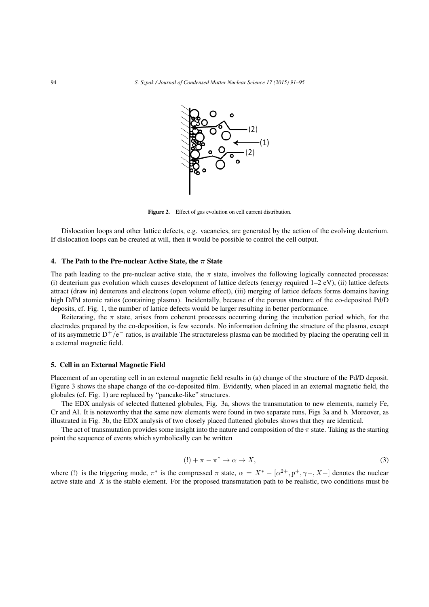

Figure 2. Effect of gas evolution on cell current distribution.

Dislocation loops and other lattice defects, e.g. vacancies, are generated by the action of the evolving deuterium. If dislocation loops can be created at will, then it would be possible to control the cell output.

#### 4. The Path to the Pre-nuclear Active State, the  $\pi$  State

The path leading to the pre-nuclear active state, the  $\pi$  state, involves the following logically connected processes: (i) deuterium gas evolution which causes development of lattice defects (energy required  $1-2$  eV), (ii) lattice defects attract (draw in) deuterons and electrons (open volume effect), (iii) merging of lattice defects forms domains having high D/Pd atomic ratios (containing plasma). Incidentally, because of the porous structure of the co-deposited Pd/D deposits, cf. Fig. 1, the number of lattice defects would be larger resulting in better performance.

Reiterating, the  $\pi$  state, arises from coherent processes occurring during the incubation period which, for the electrodes prepared by the co-deposition, is few seconds. No information defining the structure of the plasma, except of its asymmetric  $D^+/e^-$  ratios, is available The structureless plasma can be modified by placing the operating cell in a external magnetic field.

#### 5. Cell in an External Magnetic Field

Placement of an operating cell in an external magnetic field results in (a) change of the structure of the Pd/D deposit. Figure 3 shows the shape change of the co-deposited film. Evidently, when placed in an external magnetic field, the globules (cf. Fig. 1) are replaced by "pancake-like" structures.

The EDX analysis of selected flattened globules, Fig. 3a, shows the transmutation to new elements, namely Fe, Cr and Al. It is noteworthy that the same new elements were found in two separate runs, Figs 3a and b. Moreover, as illustrated in Fig. 3b, the EDX analysis of two closely placed flattened globules shows that they are identical.

The act of transmutation provides some insight into the nature and composition of the  $\pi$  state. Taking as the starting point the sequence of events which symbolically can be written

$$
(!) + \pi - \pi^* \to \alpha \to X,\tag{3}
$$

where (!) is the triggering mode,  $\pi^*$  is the compressed  $\pi$  state,  $\alpha = X^* - [\alpha^{2+}, p^+, \gamma-, X-]$  denotes the nuclear active state and *X* is the stable element. For the proposed transmutation path to be realistic, two conditions must be